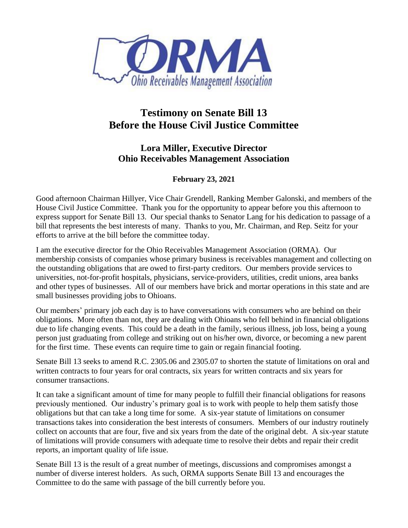

## **Testimony on Senate Bill 13 Before the House Civil Justice Committee**

## **Lora Miller, Executive Director Ohio Receivables Management Association**

## **February 23, 2021**

Good afternoon Chairman Hillyer, Vice Chair Grendell, Ranking Member Galonski, and members of the House Civil Justice Committee. Thank you for the opportunity to appear before you this afternoon to express support for Senate Bill 13. Our special thanks to Senator Lang for his dedication to passage of a bill that represents the best interests of many. Thanks to you, Mr. Chairman, and Rep. Seitz for your efforts to arrive at the bill before the committee today.

I am the executive director for the Ohio Receivables Management Association (ORMA). Our membership consists of companies whose primary business is receivables management and collecting on the outstanding obligations that are owed to first-party creditors. Our members provide services to universities, not-for-profit hospitals, physicians, service-providers, utilities, credit unions, area banks and other types of businesses. All of our members have brick and mortar operations in this state and are small businesses providing jobs to Ohioans.

Our members' primary job each day is to have conversations with consumers who are behind on their obligations. More often than not, they are dealing with Ohioans who fell behind in financial obligations due to life changing events. This could be a death in the family, serious illness, job loss, being a young person just graduating from college and striking out on his/her own, divorce, or becoming a new parent for the first time. These events can require time to gain or regain financial footing.

Senate Bill 13 seeks to amend R.C. 2305.06 and 2305.07 to shorten the statute of limitations on oral and written contracts to four years for oral contracts, six years for written contracts and six years for consumer transactions.

It can take a significant amount of time for many people to fulfill their financial obligations for reasons previously mentioned. Our industry's primary goal is to work with people to help them satisfy those obligations but that can take a long time for some. A six-year statute of limitations on consumer transactions takes into consideration the best interests of consumers. Members of our industry routinely collect on accounts that are four, five and six years from the date of the original debt. A six-year statute of limitations will provide consumers with adequate time to resolve their debts and repair their credit reports, an important quality of life issue.

Senate Bill 13 is the result of a great number of meetings, discussions and compromises amongst a number of diverse interest holders. As such, ORMA supports Senate Bill 13 and encourages the Committee to do the same with passage of the bill currently before you.